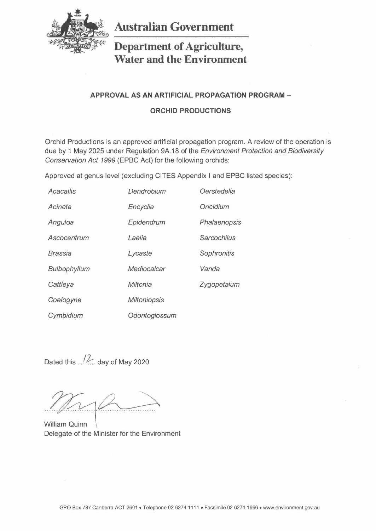

**Australian Government** 

# **Department of Agriculture, Water and the Environment**

## **APPROVAL AS AN ARTIFICIAL PROPAGATION PROGRAM -**

### **ORCHID PRODUCTIONS**

Orchid Productions is an approved artificial propagation program. A review of the operation is due by 1 May 2025 under Regulation 9A.18 of the *Environment Protection and Biodiversity Conservation* Act 1999 (EPBC Act) for the following orchids:

Approved at genus level (excluding CITES Appendix I and EPBC listed species):

| Acacallis    | Dendrobium          | Oerstedella        |
|--------------|---------------------|--------------------|
| Acineta      | Encyclia            | Oncidium           |
| Anguloa      | Epidendrum          | Phalaenopsis       |
| Ascocentrum  | Laelia              | <b>Sarcochilus</b> |
| Brassia      | Lycaste             | Sophronitis        |
| Bulbophyllum | Mediocalcar         | Vanda              |
| Cattleya     | Miltonia            | Zygopetalum        |
| Coelogyne    | <b>Miltoniopsis</b> |                    |
| Cymbidium    | Odontoglossum       |                    |

Dated this  $\frac{1}{2}$  day of May 2020

William Quinn Delegate of the Minister for the Environment